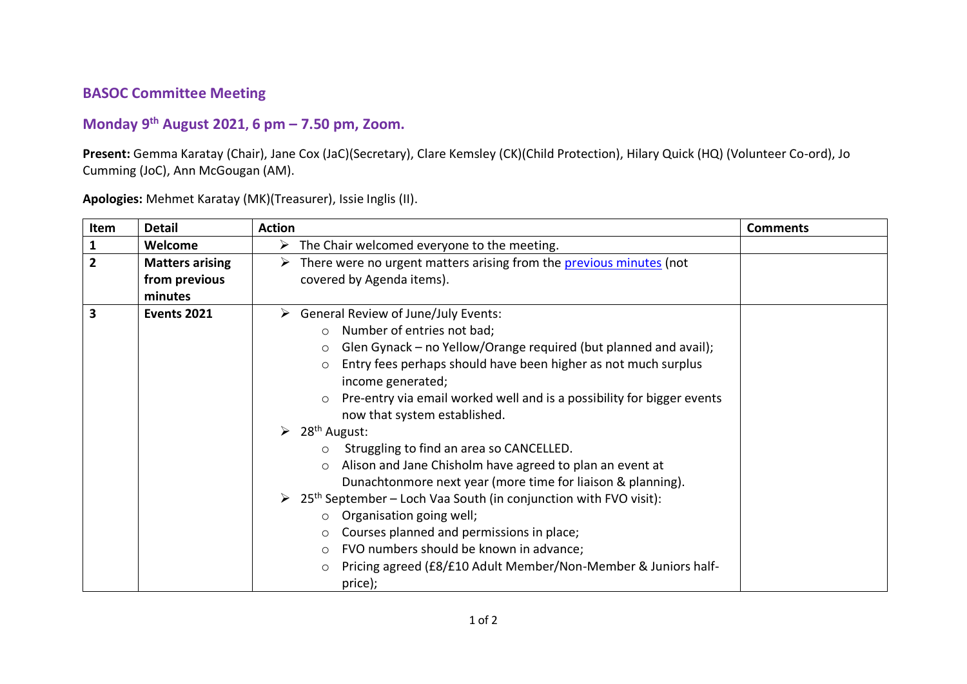## **BASOC Committee Meeting**

## **Monday 9 th August 2021, 6 pm – 7.50 pm, Zoom.**

**Present:** Gemma Karatay (Chair), Jane Cox (JaC)(Secretary), Clare Kemsley (CK)(Child Protection), Hilary Quick (HQ) (Volunteer Co-ord), Jo Cumming (JoC), Ann McGougan (AM).

| Item                    | <b>Detail</b>                                      | <b>Action</b>                                                                                                                                                                                                                                                                                                                                                                                                                                                                                                                                                                                                                                                                                                                                                                                                                                                                                                                                          | <b>Comments</b> |
|-------------------------|----------------------------------------------------|--------------------------------------------------------------------------------------------------------------------------------------------------------------------------------------------------------------------------------------------------------------------------------------------------------------------------------------------------------------------------------------------------------------------------------------------------------------------------------------------------------------------------------------------------------------------------------------------------------------------------------------------------------------------------------------------------------------------------------------------------------------------------------------------------------------------------------------------------------------------------------------------------------------------------------------------------------|-----------------|
| $\overline{1}$          | Welcome                                            | $\triangleright$ The Chair welcomed everyone to the meeting.                                                                                                                                                                                                                                                                                                                                                                                                                                                                                                                                                                                                                                                                                                                                                                                                                                                                                           |                 |
| $\overline{2}$          | <b>Matters arising</b><br>from previous<br>minutes | There were no urgent matters arising from the previous minutes (not<br>➤<br>covered by Agenda items).                                                                                                                                                                                                                                                                                                                                                                                                                                                                                                                                                                                                                                                                                                                                                                                                                                                  |                 |
| $\overline{\mathbf{3}}$ | <b>Events 2021</b>                                 | <b>General Review of June/July Events:</b><br>➤<br>Number of entries not bad;<br>$\circ$<br>Glen Gynack - no Yellow/Orange required (but planned and avail);<br>$\circ$<br>Entry fees perhaps should have been higher as not much surplus<br>$\circ$<br>income generated;<br>Pre-entry via email worked well and is a possibility for bigger events<br>$\circ$<br>now that system established.<br>$\geq 28^{th}$ August:<br>Struggling to find an area so CANCELLED.<br>$\circ$<br>Alison and Jane Chisholm have agreed to plan an event at<br>$\circ$<br>Dunachtonmore next year (more time for liaison & planning).<br>$\geq 25$ <sup>th</sup> September – Loch Vaa South (in conjunction with FVO visit):<br>$\circ$ Organisation going well;<br>Courses planned and permissions in place;<br>$\circ$<br>FVO numbers should be known in advance;<br>$\circ$<br>Pricing agreed (£8/£10 Adult Member/Non-Member & Juniors half-<br>$\circ$<br>price); |                 |

**Apologies:** Mehmet Karatay (MK)(Treasurer), Issie Inglis (II).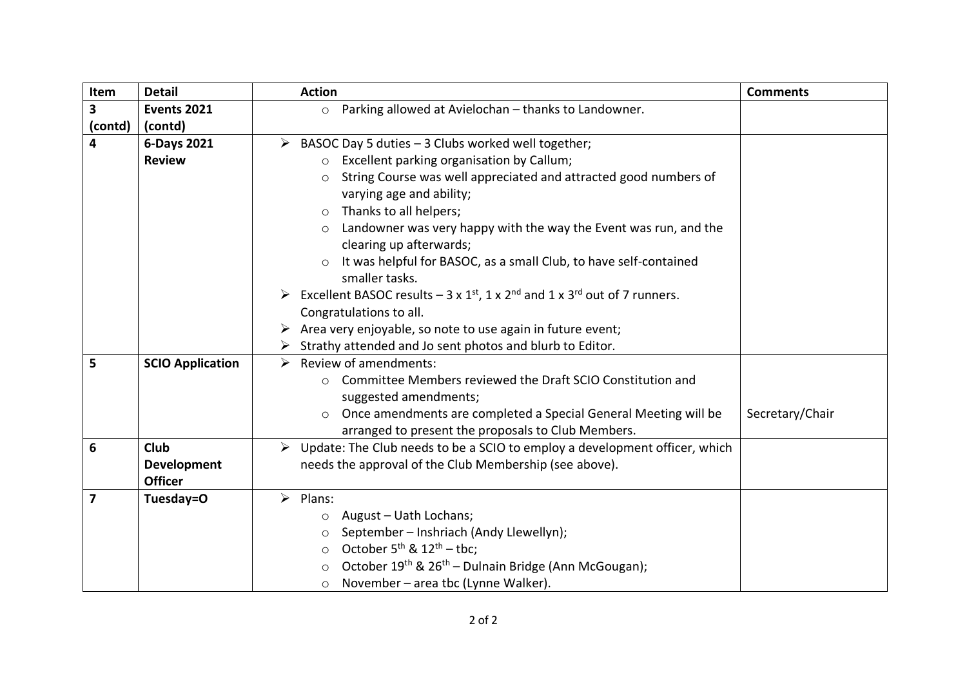| Item                    | <b>Detail</b>                        | <b>Action</b>                                                                                                         | <b>Comments</b> |
|-------------------------|--------------------------------------|-----------------------------------------------------------------------------------------------------------------------|-----------------|
| 3                       | <b>Events 2021</b>                   | Parking allowed at Avielochan - thanks to Landowner.<br>$\circ$                                                       |                 |
| (contd)                 | (contd)                              |                                                                                                                       |                 |
| 4                       | 6-Days 2021                          | $\triangleright$ BASOC Day 5 duties - 3 Clubs worked well together;                                                   |                 |
|                         | <b>Review</b>                        | Excellent parking organisation by Callum;<br>$\circ$                                                                  |                 |
|                         |                                      | String Course was well appreciated and attracted good numbers of<br>$\circ$<br>varying age and ability;               |                 |
|                         |                                      | Thanks to all helpers;<br>$\circ$                                                                                     |                 |
|                         |                                      | Landowner was very happy with the way the Event was run, and the<br>$\circ$<br>clearing up afterwards;                |                 |
|                         |                                      | It was helpful for BASOC, as a small Club, to have self-contained<br>smaller tasks.                                   |                 |
|                         |                                      | Excellent BASOC results $-3 \times 1^{st}$ , 1 x 2 <sup>nd</sup> and 1 x 3 <sup>rd</sup> out of 7 runners.            |                 |
|                         |                                      | Congratulations to all.                                                                                               |                 |
|                         |                                      | Area very enjoyable, so note to use again in future event;                                                            |                 |
|                         |                                      | Strathy attended and Jo sent photos and blurb to Editor.                                                              |                 |
| 5                       | <b>SCIO Application</b>              | Review of amendments:                                                                                                 |                 |
|                         |                                      | Committee Members reviewed the Draft SCIO Constitution and<br>$\bigcirc$<br>suggested amendments;                     |                 |
|                         |                                      | Once amendments are completed a Special General Meeting will be<br>arranged to present the proposals to Club Members. | Secretary/Chair |
| 6                       | <b>Club</b>                          | $\triangleright$ Update: The Club needs to be a SCIO to employ a development officer, which                           |                 |
|                         | <b>Development</b><br><b>Officer</b> | needs the approval of the Club Membership (see above).                                                                |                 |
| $\overline{\mathbf{z}}$ | Tuesday=O                            | $\triangleright$ Plans:                                                                                               |                 |
|                         |                                      | August - Uath Lochans;<br>$\circ$                                                                                     |                 |
|                         |                                      | September - Inshriach (Andy Llewellyn);<br>$\circ$                                                                    |                 |
|                         |                                      | October $5^{th}$ & $12^{th}$ – tbc;<br>$\circ$                                                                        |                 |
|                         |                                      | October 19th & 26th - Dulnain Bridge (Ann McGougan);<br>O                                                             |                 |
|                         |                                      | November - area tbc (Lynne Walker).<br>$\circ$                                                                        |                 |